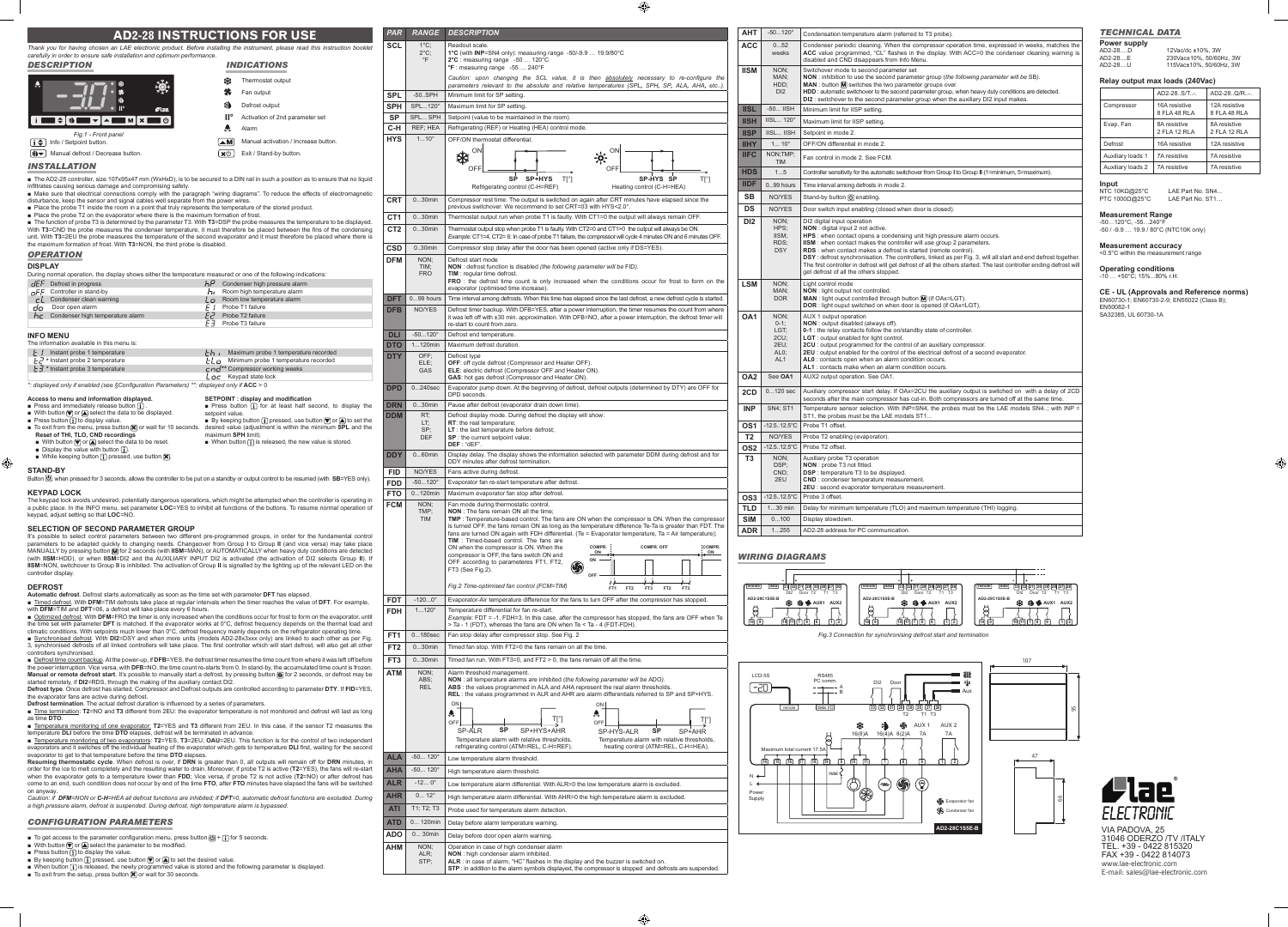**Power supply**<br>AD2-28....D<br>AD2-28....E 12Vac/dc ±10%, 3W AD2-28....E 230Vac±10%, 50/60Hz, 3W AD2-28....U 115Vac±10%, 50/60Hz, 3W

: defrost synchronisation. The controllers, linked as per Fig. 3, will all start and end defrost together The first controller in defrost will get defrost of all the others started. The last controller ending defrost will get defrost of all the others stopped.

t control mode : light output not controlled. **MAN** : light ouput controlled through button **(M**) (if OAx=LGT).<br>**DOR** : light ouput switched on when door is opened (if OAx=LGT).

 $\overline{A}$  1 output operation

**Contacts open when an alarm condition occurs. AL1** : contacts make when an alarm condition occurs.

<sup>2</sup> Output operation. See OA1.

**2CD** 0...120 sec | Auxiliary compressor start delay. If OAx=2CU the auxiliary output is switched on with a delay of 2CD |<br>seconds after the main compressor has cut-in. Both compressors are turned off at the same time. **Derature sensor selection. With INP=SN4, the probes must be the LAE models SN4..; with INP =** the probes must be the LAE models ST1..

**T2** enabling (evaporator).

**De T2 offset.** 

iliary probe T3 operation

**CND** : condenser temperature measurement. **2** second evaporator temperature measurement.

**De 3 offset.** 

ay for minimum temperature (TLO) and maximum temperature (THI) logging.

lay slowdown.

STP;

■ With button ♥ or ▲ select the parameter to be modified.<br>■ Press button ① to display the value.<br>■ By keeping button ① pressed, use button ♥ or ▲ to set the desired value.<br>■ When button ① is released, the newly programme

**ALR** : in case of alarm, "HC" flashes in the display and the buzzer is switched on. **STP** : in addition to the alarm symbols displayed, the compressor is stopped and defrosts are suspended.

## *TECHNICAL DATA*

## **Relay output max loads (240Vac)**

|                   | AD2-28S/T-.                   | AD2-28Q/R-.                   |
|-------------------|-------------------------------|-------------------------------|
| Compressor        | 16A resistive<br>8 FLA 48 RLA | 12A resistive<br>8 FLA 48 RLA |
| Evap. Fan         | 8A resistive<br>2 FLA 12 RLA  | 8A resistive<br>2 FLA 12 RLA  |
| Defrost           | 16A resistive                 | 12A resistive                 |
| Auxiliary loads 1 | 7A resistive                  | 7A resistive                  |
| Auxiliary loads 2 | 7A resistive                  | <b>7A</b> resistive           |

LAE Part No. SN4..<br>LAE Part No. ST1..

**Input**<br>NTC 10KΩ@25°C PTC 1000Ω@25°C

**Measurement Range**<br>-50…120°C, -55…240°F<br>-50 / -9.9 … 19.9 / 80°C (NTC10K only)

**Measurement accuracy**<br><0.5°C within the measurement range

**Operating conditions** -10 … +50°C; 15%...80% r.H.

# **CE - UL (Approvals and Reference norms)** EN60730-1; EN60730-2-9; EN55022 (Class B);

 $\bigoplus$ 

EN50082-1

SA32385, UL 60730-1A



| densation temperature alarm (referred to T3 probe). |  |  |  |
|-----------------------------------------------------|--|--|--|
|                                                     |  |  |  |

Condenser periodic cleaning. When the compressor operation time, expressed in weeks, matches the<br>ACC value programmed, "CL" flashes in the display. With ACC=0 the condenser cleaning warning is<br>disabled and CND disappears f

Switchover mode to second parameter set<br>
NON : inhibition to use the second parameter group (*the following parameter will be* SB).<br>
MAN : button M switches the two parameter groups over.<br>
HDD : automatic switchover to the  $\overline{\text{mum}}$  limit for IISP setting.

**IISH** IISL... 120° Maximum limit for IISP setting.

**I** III mode 2.

**III** 1.000 ON differential in mode 2.

control in mode 2. See FCM.

**HDS** 1...5 Controller sensitivity for the automatic switchover from Group **I** to Group **II** (1=minimum, 5=maximum).

**Interval among defrosts in mode 2.** 

nd-by button **ight** enabling.

switch input enabling (closed when door is closed).

DI2 digital input operation **NON** : digital input 2 not active.

**HPS** : when contact opens a condensing unit high pressure alarm occurs.

**IISM** : when contact makes the controller will use group 2 parameters. **RDS** : when contact makes a defrost is started (remote control).

**NON** : output disabled (always off). **0-1** : the relay contacts follow the on/standby state of controller.

: output enabled for light control.

**2CU** : output programmed for the control of an auxiliary compressor. **2EU** : output enabled for the control of the electrical defrost of a second evaporator.

**NON** : probe T3 not fitted.

**DSP** : temperature T3 to be displayed.

 $\bigoplus$ 

|   |                                                                                                                                                                                                                                                                              | <b>AD2-28 INSTRUCTIONS FOR USE</b>                                                                                                                                                                                                                                      | <b>PAR</b>                         | <b>RANGE</b>                  | <b>DESCRIPTION</b>                                                                                                                                                   | <b>AHT</b>                        | $-50120°$                                                                  | Condensation te                                    |
|---|------------------------------------------------------------------------------------------------------------------------------------------------------------------------------------------------------------------------------------------------------------------------------|-------------------------------------------------------------------------------------------------------------------------------------------------------------------------------------------------------------------------------------------------------------------------|------------------------------------|-------------------------------|----------------------------------------------------------------------------------------------------------------------------------------------------------------------|-----------------------------------|----------------------------------------------------------------------------|----------------------------------------------------|
|   |                                                                                                                                                                                                                                                                              |                                                                                                                                                                                                                                                                         | <b>SCL</b>                         | $1^{\circ}$ C;                | Readout scale.                                                                                                                                                       | <b>ACC</b>                        | 052                                                                        | Condenser perio                                    |
|   | carefully in order to ensure safe installation and optimum performance.                                                                                                                                                                                                      | Thank you for having chosen an LAE electronic product. Before installing the instrument, please read this instruction booklet                                                                                                                                           |                                    | $2^{\circ}$ C;<br>$\degree$ F | 1°C (with INP=SN4 only): measuring range -50/-9.9  19.9/80°C<br>2°C : measuring range -50  120°C                                                                     |                                   | weeks                                                                      | ACC value prog                                     |
|   | <b>DESCRIPTION</b>                                                                                                                                                                                                                                                           | <i><b>INDICATIONS</b></i>                                                                                                                                                                                                                                               |                                    |                               | $\textdegree$ F : measuring range -55  240 $\textdegree$ F                                                                                                           | <b>IISM</b>                       | NON:                                                                       | disabled and CN<br>Switchover mode                 |
|   |                                                                                                                                                                                                                                                                              | Thermostat output                                                                                                                                                                                                                                                       |                                    |                               | Caution: upon changing the SCL value, it is then absolutely necessary to re-configure the                                                                            |                                   | MAN:<br>HDD:                                                               | NON: inhibition<br>MAN: button M                   |
|   | 灤                                                                                                                                                                                                                                                                            | Fan output                                                                                                                                                                                                                                                              | <b>SPL</b>                         | $-50.$ SPH                    | parameters relevant to the absolute and relative temperatures (SPL, SPH, SP, ALA, AHA, etc).<br>Minimum limit for SP setting.                                        |                                   | DI2                                                                        | HDD : automatic s                                  |
|   |                                                                                                                                                                                                                                                                              | 划<br>Defrost output                                                                                                                                                                                                                                                     | <b>SPH</b>                         | SPL120°                       | Maximum limit for SP setting.                                                                                                                                        |                                   |                                                                            | DI2: switchover                                    |
|   | <b>Clae</b><br>▋≑│╣▐█▊▼│▲▐██▐⋈│×▐<br>∎ம                                                                                                                                                                                                                                      | Activation of 2nd parameter set                                                                                                                                                                                                                                         | <b>SP</b>                          | SPL SPH                       | Setpoint (value to be maintained in the room)                                                                                                                        | <b>IISL</b><br><b>IISH</b>        | $-50$ IISH<br><b>IISL 120°</b>                                             | Minimum limit for                                  |
|   |                                                                                                                                                                                                                                                                              | Alarm                                                                                                                                                                                                                                                                   | $C-H$                              | REF; HEA                      | Refrigerating (REF) or Heating (HEA) control mode.                                                                                                                   |                                   |                                                                            | Maximum limit fo                                   |
|   | Fig.1 - Front panel<br>$\mathbf{i} \triangleq \mathbf{j}$ Info / Setpoint button.                                                                                                                                                                                            | (▲M<br>Manual activation / Increase button.                                                                                                                                                                                                                             | <b>HYS</b>                         | $110^{\circ}$                 | OFF/ON thermostat differential.                                                                                                                                      | <b>IISP</b><br><b>IIHY</b>        | IISL IISH<br>$1 10^{\circ}$                                                | Setpoint in mode<br>OFF/ON differen                |
|   | श्चिम् Manual defrost / Decrease button.                                                                                                                                                                                                                                     | (xധ<br>Exit / Stand-by button.                                                                                                                                                                                                                                          |                                    |                               | ON<br>ON                                                                                                                                                             | <b>IIFC</b>                       | NON;TMP;                                                                   |                                                    |
|   | <b>INSTALLATION</b>                                                                                                                                                                                                                                                          |                                                                                                                                                                                                                                                                         |                                    |                               | 桊<br>$\div \circ$                                                                                                                                                    |                                   | <b>TIM</b>                                                                 | Fan control in mo                                  |
|   |                                                                                                                                                                                                                                                                              | The AD2-28 controller, size 107x95x47 mm (WxHxD), is to be secured to a DIN rail in such a position as to ensure that no liquid                                                                                                                                         |                                    |                               | <b>OFF</b><br>OFF<br>SP-HYS SP<br>SP SP+HYS TI°1<br>$T[^{\circ}]$                                                                                                    | <b>HDS</b>                        | 15                                                                         | Controller sensitivi                               |
|   | infiltrates causing serious damage and compromising safety.                                                                                                                                                                                                                  |                                                                                                                                                                                                                                                                         |                                    |                               | Refrigerating control (C-H=REF)<br>Heating control (C-H=HEA)                                                                                                         | <b>IIDF</b>                       | 099 hours                                                                  | Time interval amo                                  |
|   | disturbance, keep the sensor and signal cables well separate from the power wires.                                                                                                                                                                                           | • Make sure that electrical connections comply with the paragraph "wiring diagrams". To reduce the effects of electromagnetic                                                                                                                                           | <b>CRT</b>                         | $030$ min                     | Compressor rest time. The output is switched on again after CRT minutes have elapsed since the                                                                       | <b>SB</b>                         | NO/YES                                                                     | Stand-by button (                                  |
|   | ■ Place the probe T1 inside the room in a point that truly represents the temperature of the stored product.<br>Place the probe T2 on the evaporator where there is the maximum formation of frost.                                                                          |                                                                                                                                                                                                                                                                         |                                    | $030$ min                     | previous switchover. We recommend to set CRT=03 with HYS<2.0°.<br>Thermostat output run when probe T1 is faulty. With CT1=0 the output will always remain OFF.       | <b>DS</b>                         | NO/YES                                                                     | Door switch inpu                                   |
|   | The function of probe T3 is determined by the parameter T3. With T3=DSP the probe measures the temperature to be displayed.                                                                                                                                                  |                                                                                                                                                                                                                                                                         | CT <sub>1</sub><br>CT <sub>2</sub> | $030$ min                     | Thermostat output stop when probe T1 is faulty. With CT2=0 and CT1>0 the output will always be ON.                                                                   | D <sub>12</sub>                   | NON;<br>HPS:                                                               | DI2 digital input<br>NON : digital inpi            |
|   |                                                                                                                                                                                                                                                                              | With T3=CND the probe measures the condenser temperature, it must therefore be placed between the fins of the condensing<br>unit. With T3=2EU the probe measures the temperature of the second evaporator and it must therefore be placed where there is                |                                    |                               | Example: CT1=4. CT2= 6: In case of probe T1 failure, the compressor will cycle 4 minutes ON and 6 minutes OFF.                                                       |                                   | IISM:                                                                      | HPS: when cont                                     |
|   | the maximum formation of frost. With T3=NON, the third probe is disabled.                                                                                                                                                                                                    |                                                                                                                                                                                                                                                                         | <b>CSD</b>                         | $0.30$ min                    | Compressor stop delay after the door has been opened (active only if DS=YES).                                                                                        |                                   | RDS:<br><b>DSY</b>                                                         | IISM: when cont<br>RDS: when cont                  |
|   | <b>OPERATION</b>                                                                                                                                                                                                                                                             |                                                                                                                                                                                                                                                                         | <b>DFM</b>                         | NON;                          | Defrost start mode                                                                                                                                                   |                                   |                                                                            | DSY: defrost syr<br>The first controlle            |
|   | <b>DISPLAY</b><br>During normal operation, the display shows either the temperature measured or one of the following indications:                                                                                                                                            |                                                                                                                                                                                                                                                                         |                                    | TIM;<br><b>FRO</b>            | NON : defrost function is disabled (the following parameter will be FID).<br>TIM: reqular time defrost.                                                              |                                   |                                                                            | get defrost of all                                 |
|   | $dEF$ Defrost in progress                                                                                                                                                                                                                                                    | $h^P$ Condenser high pressure alarm                                                                                                                                                                                                                                     |                                    |                               | FRO: the defrost time count is only increased when the conditions occur for frost to form on the<br>evaporator (optimised time increase).                            | <b>LSM</b>                        | NON:                                                                       | Light control mod                                  |
|   | $aFF$ Controller in stand-by<br>$L$ Condenser clean warning                                                                                                                                                                                                                  | <b>h</b> Room high temperature alarm<br>$\mathcal{L}_{\Omega}$ Room low temperature alarm                                                                                                                                                                               | <b>DFT</b>                         | $099$ hours                   | Time interval among defrosts. When this time has elapsed since the last defrost, a new defrost cycle is started.                                                     |                                   | MAN;<br><b>DOR</b>                                                         | NON : light outpu<br>MAN : light oupu              |
|   | Door open alarm<br>da l                                                                                                                                                                                                                                                      | Probe T1 failure<br>E I                                                                                                                                                                                                                                                 | <b>DFB</b>                         | NO/YES                        | Defrost timer backup. With DFB=YES, after a power interruption, the timer resumes the count from where                                                               |                                   |                                                                            | DOR : light oupu                                   |
|   | $h_{\mathcal{L}}$ Condenser high temperature alarm                                                                                                                                                                                                                           | $E^3$ Probe T2 failure<br>Probe T3 failure<br>E3.                                                                                                                                                                                                                       |                                    |                               | it was left off with ±30 min. approximation. With DFB=NO, after a power interruption, the defrost timer will<br>re-start to count from zero.                         | OA <sub>1</sub>                   | NON:<br>$0-1$ ;                                                            | AUX 1 output op<br>NON : output dis                |
|   | <b>INFO MENU</b>                                                                                                                                                                                                                                                             |                                                                                                                                                                                                                                                                         | <b>DLI</b>                         | $-50120°$                     | Defrost end temperature.                                                                                                                                             |                                   | LGT;                                                                       | 0-1 : the relay co                                 |
|   | The information available in this menu is:                                                                                                                                                                                                                                   |                                                                                                                                                                                                                                                                         | <b>DTO</b>                         | $1120$ min                    | Maximum defrost duration.                                                                                                                                            |                                   | 2CU<br>2EU;                                                                | LGT : output ena<br>2CU : output pro               |
|   | $\mathbf{L}$ / Instant probe 1 temperature<br>$E^3$ * Instant probe 2 temperature                                                                                                                                                                                            | $\sum h_i$ Maximum probe 1 temperature recorded<br>$FL_{\Box}$ Minimum probe 1 temperature recorded                                                                                                                                                                     | <b>DTY</b>                         | OFF;                          | Defrost type                                                                                                                                                         |                                   | AL <sub>0</sub> ;<br>AL <sub>1</sub>                                       | 2EU : output ena<br>ALO: contacts o                |
|   | $E \cdot \overline{J}$ * Instant probe 3 temperature                                                                                                                                                                                                                         | Compressor working weeks בה                                                                                                                                                                                                                                             |                                    | ELE:<br><b>GAS</b>            | OFF: off cycle defrost (Compressor and Heater OFF).<br>ELE: electric defrost (Compressor OFF and Heater ON).                                                         |                                   |                                                                            | AL1 : contacts m                                   |
|   | *: displayed only if enabled (see §Configuration Parameters) **: displayed only if ACC > 0                                                                                                                                                                                   | $L_{\Omega}$ Keypad state lock                                                                                                                                                                                                                                          |                                    |                               | GAS: hot gas defrost (Compressor and Heater ON)                                                                                                                      | OA <sub>2</sub>                   | See OA1                                                                    | AUX2 output ope                                    |
|   |                                                                                                                                                                                                                                                                              |                                                                                                                                                                                                                                                                         | <b>DPD</b>                         | $0240$ sec                    | Evaporator pump down. At the beginning of defrost, defrost outputs (determined by DTY) are OFF for<br>DPD seconds.                                                   | 2CD                               | $0120$ sec                                                                 | Auxiliary compre                                   |
|   | Access to menu and information displayed.<br>Press and immediately release button $(i)$ .                                                                                                                                                                                    | SETPOINT : display and modification<br><b>Press button</b> $\begin{bmatrix} 1 \end{bmatrix}$ for at least half second, to display the                                                                                                                                   | <b>DRN</b>                         | $030$ min                     | Pause after defrost (evaporator drain down time).                                                                                                                    | <b>INP</b>                        | <b>SN4: ST1</b>                                                            | seconds after the<br>Temperature ser               |
|   | ■ With button $\nabla$ or $\blacktriangle$ select the data to be displayed.<br>Press button $\begin{bmatrix} 1 \end{bmatrix}$ to display value.                                                                                                                              | setpoint value.<br>■ By keeping button $(i)$ pressed, use button $\nabla$ or $\triangle$ to set the                                                                                                                                                                     | <b>DDM</b>                         | RT;<br>LT;                    | Defrost display mode. During defrost the display will show:<br>RT: the real temperature;                                                                             |                                   |                                                                            | ST1, the probes                                    |
|   | Reset of THI, TLO, CND recordings                                                                                                                                                                                                                                            | To exit from the menu, press button $\mathbb{R}$ or wait for 10 seconds. desired value (adjustment is within the minimum SPL and the<br>maximum SPH limit).                                                                                                             |                                    | SP:                           | $LT$ : the last temperature before defrost;                                                                                                                          | OS <sub>1</sub>                   | $-12.5.12.5^{\circ}$ C                                                     | Probe T1 offset.                                   |
|   | $\blacksquare$ With button $\lbrack \nabla \rbrack$ or $\lbrack \blacktriangle \rbrack$ select the data to be reset.                                                                                                                                                         | When button $\begin{bmatrix} \mathbf{i} \end{bmatrix}$ is released, the new value is stored.                                                                                                                                                                            |                                    | <b>DEF</b>                    | SP : the current setpoint value;<br>DEF: "dEF"                                                                                                                       | T <sub>2</sub>                    | NO/YES                                                                     | Probe T2 enablir                                   |
|   | <b>Display the value with button <math>\begin{bmatrix} 1 \end{bmatrix}</math>.</b><br>■ While keeping button $\begin{bmatrix} \overline{\mathbf{i}} \end{bmatrix}$ pressed, use button $\mathbf{\overline{X}}$                                                               |                                                                                                                                                                                                                                                                         | <b>DDY</b>                         | $060$ min                     | Display delay. The display shows the information selected with parameter DDM during defrost and for                                                                  | OS <sub>2</sub><br>T <sub>3</sub> | NON:                                                                       | 12.512.5°C   Probe T2 offset<br>Auxiliary probe T  |
| ⊕ | <b>STAND-BY</b>                                                                                                                                                                                                                                                              |                                                                                                                                                                                                                                                                         |                                    | NO/YES                        | DDY minutes after defrost termination.                                                                                                                               |                                   | DSP:                                                                       | NON: probe T3                                      |
|   | Button $\circled{0}$ , when pressed for 3 seconds, allows the controller to be put on a standby or output control to be resumed (with SB=YES only).                                                                                                                          |                                                                                                                                                                                                                                                                         | <b>FID</b><br><b>FDD</b>           | $-50120^{\circ}$              | Fans active during defrost.<br>Evaporator fan re-start temperature after defrost.                                                                                    |                                   | CND:<br>2EU                                                                | <b>DSP</b> : temperatu<br>CND : condense           |
|   | <b>KEYPAD LOCK</b>                                                                                                                                                                                                                                                           |                                                                                                                                                                                                                                                                         | <b>FTO</b>                         | $0120$ min                    | Maximum evaporator fan stop after defrost.                                                                                                                           |                                   |                                                                            | 2EU : second ev                                    |
|   | a public place. In the INFO menu, set parameter LOC=YES to inhibit all functions of the buttons. To resume normal operation of                                                                                                                                               | The keypad lock avoids undesired, potentially dangerous operations, which might be attempted when the controller is operating in                                                                                                                                        | <b>FCM</b>                         | NON;                          | Fan mode during thermostatic control.                                                                                                                                | OS <sub>3</sub>                   | $12.5.12.5^{\circ}$ C<br>$130$ min                                         | Probe 3 offset.<br>Delay for minimu                |
|   | keypad, adjust setting so that LOC=NO.                                                                                                                                                                                                                                       |                                                                                                                                                                                                                                                                         |                                    | TMP:<br><b>TIM</b>            | <b>NON</b> : The fans remain ON all the time;<br><b>TMP</b> : Temperature-based control. The fans are ON when the compressor is ON. When the compressor              | <b>TLD</b><br><b>SIM</b>          | 0100                                                                       | Display slowdow                                    |
|   | <b>SELECTION OF SECOND PARAMETER GROUP</b>                                                                                                                                                                                                                                   |                                                                                                                                                                                                                                                                         |                                    |                               | is turned OFF, the fans remain ON as long as the temperature difference Te-Ta is greater than FDT. The                                                               | <b>ADR</b>                        | 1255                                                                       | AD2-28 address                                     |
|   |                                                                                                                                                                                                                                                                              | It's possible to select control parameters between two different pre-programmed groups, in order for the fundamental control<br>parameters to be adapted quickly to changing needs. Changeover from Group I to Group II (and vice versa) may take place                 |                                    |                               | fans are turned ON again with FDH differential. (Te = Evaporator temperature, Ta = Air temperature);<br><b>TIM</b> : Timed-based control. The fans are               |                                   |                                                                            |                                                    |
|   | MANUALLY by pressing button M for 2 seconds (with IISM=MAN), or AUTOMATICALLY when heavy duty conditions are detected                                                                                                                                                        |                                                                                                                                                                                                                                                                         |                                    |                               | ON when the compressor is ON. When the<br>COMPR.<br><b>COMPR. OFF</b><br>COMPR.<br>ON<br>$\frac{ON}{1}$<br>compressor is OFF, the fans switch ON and                 |                                   | <b>WIRING DIAGRAMS</b>                                                     |                                                    |
|   |                                                                                                                                                                                                                                                                              | (with IISM=HDD), or when IISM=DI2 and the AUXILIARY INPUT DI2 is activated (the activation of DI2 selects Group II). If<br>IISM=NON, switchover to Group II is inhibited. The activation of Group II is signalled by the lighting up of the relevant LED on the         |                                    |                               | ON<br>OFF according to parameteres FT1, FT2,<br>G                                                                                                                    |                                   |                                                                            |                                                    |
|   | controller display.                                                                                                                                                                                                                                                          |                                                                                                                                                                                                                                                                         |                                    |                               | FT3 (See Fig.2).<br>OF                                                                                                                                               |                                   |                                                                            |                                                    |
|   | <b>DEFROST</b>                                                                                                                                                                                                                                                               |                                                                                                                                                                                                                                                                         |                                    |                               | Fig.2 Time-optimised fan control (FCM=TIM)<br>FT <sub>2</sub><br>FT3<br>FT <sub>2</sub><br>FT <sub>1</sub>                                                           | remote                            |                                                                            | data) 33 32 31 29 30 28 27 26<br>DI2 Door T2 T1 T3 |
|   | Automatic defrost. Defrost starts automatically as soon as the time set with parameter DFT has elapsed.<br>■ Timed defrost. With DFM=TIM defrosts take place at regular intervals when the timer reaches the value of DFT. For example,                                      |                                                                                                                                                                                                                                                                         | <b>FDT</b>                         | $-1200$ °                     | Evaporator-Air temperature difference for the fans to turn OFF after the compressor has stopped.                                                                     |                                   | AD2-28C1S5E-B<br>*                                                         | SAUX1 AUX2                                         |
|   | with DFM=TIM and DFT=06, a defrost will take place every 6 hours.                                                                                                                                                                                                            | ■ Optimized defrost. With DFM=FRO the timer is only increased when the conditions occur for frost to form on the evaporator, until                                                                                                                                      | <b>FDH</b>                         | $1120^{\circ}$                | Temperature differential for fan re-start.<br>Example: FDT = -1, FDH=3. In this case, after the compressor has stopped, the fans are OFF when Te                     | $\frac{1}{100}$                   |                                                                            |                                                    |
|   | climatic conditions. With setpoints much lower than 0°C, defrost frequency mainly depends on the refrigerator operating time.                                                                                                                                                | the time set with parameter DFT is matched. If the evaporator works at 0°C, defrost frequency depends on the thermal load and                                                                                                                                           |                                    |                               | > Ta - 1 (FDT), whereas the fans are ON when Te < Ta - 4 (FDT-FDH).                                                                                                  |                                   |                                                                            | 门口<br>ொ<br>7   8                                   |
|   | ■ Synchronised defrost. With DI2=DSY and when more units (models AD2-28x3xxx only) are linked to each other as per Fig.                                                                                                                                                      |                                                                                                                                                                                                                                                                         | FT <sub>1</sub>                    | 0180sec                       | Fan stop delay after compressor stop. See Fig. 2                                                                                                                     |                                   |                                                                            | Fig.3 Conn                                         |
|   | 3, synchronised defrosts of all linked controllers will take place. The first controller which will start defrost, will also get all other<br>controllers synchronised.                                                                                                      |                                                                                                                                                                                                                                                                         | FT <sub>2</sub>                    | $030$ min                     | Timed fan stop. With FT2=0 the fans remain on all the time.                                                                                                          |                                   |                                                                            |                                                    |
|   | ■ Defrost time count backup. At the power-up, if DFB=YES, the defrost timer resumes the time count from where it was left off before<br>the power interruption. Vice versa, with DFB=NO, the time count re-starts from 0. In stand-by, the accumulated time count is frozen. |                                                                                                                                                                                                                                                                         | FT3                                | $030$ min                     | Timed fan run. With FT3=0, and FT2 $>$ 0, the fans remain off all the time.                                                                                          |                                   |                                                                            |                                                    |
|   |                                                                                                                                                                                                                                                                              | Manual or remote defrost start. It's possible to manually start a defrost, by pressing button (4) for 2 seconds, or defrost may be                                                                                                                                      | <b>ATM</b>                         | NON:<br>ABS:                  | Alarm threshold management.<br>NON : all temperature alarms are inhibited (the following parameter will be ADO).                                                     |                                   | LCD-5S                                                                     | <b>RS485</b>                                       |
|   | started remotely, if DI2=RDS, through the making of the auxiliary contact DI2.<br>Defrost type. Once defrost has started, Compressor and Defrost outputs are controlled according to parameter DTY. If FID=YES,                                                              |                                                                                                                                                                                                                                                                         |                                    | <b>REL</b>                    | ABS : the values programmed in ALA and AHA represent the real alarm thresholds.                                                                                      |                                   | $-50$                                                                      | PC comm.                                           |
|   | the evaporator fans are active during defrost.<br>Defrost termination. The actual defrost duration is influenced by a series of parameters.                                                                                                                                  |                                                                                                                                                                                                                                                                         |                                    |                               | REL: the values programmed in ALR and AHR are alarm differentials referred to SP and SP+HYS.<br>ON<br>ON                                                             |                                   |                                                                            |                                                    |
|   |                                                                                                                                                                                                                                                                              | Time termination: T2=NO and T3 different from 2EU: the evaporator temperature is not monitored and defrost will last as long                                                                                                                                            |                                    |                               | Ą<br>A                                                                                                                                                               |                                   | remote                                                                     | data I/O                                           |
|   | as time DTO.                                                                                                                                                                                                                                                                 | ■ Temperature monitoring of one evaporator: T2=YES and T3 different from 2EU. In this case, if the sensor T2 measures the                                                                                                                                               |                                    |                               | $T[^{\circ}]$<br>OFF<br>OFF                                                                                                                                          |                                   |                                                                            |                                                    |
|   | temperature DLI before the time DTO elapses, defrost will be terminated in advance.                                                                                                                                                                                          | ■ Temperature monitoring of two evaporators: T2=YES, T3=2EU, OAU=2EU. This function is for the control of two independent                                                                                                                                               |                                    |                               | <b>SP</b><br>SP+HYS+AHR<br>SP-ALR<br>SP-HYS-ALR<br><b>SP</b><br>SP+AHR<br>Temperature alarm with relative thresholds,<br>Temperature alarm with relative thresholds. |                                   |                                                                            | 5                                                  |
|   |                                                                                                                                                                                                                                                                              | evaporators and it switches off the individual heating of the evaporator which gets to temperature DLI first, waiting for the second                                                                                                                                    |                                    |                               | heating control (ATM=REL, C-H=HEA)<br>refrigerating control (ATM=REL, C-H=REF)                                                                                       |                                   | Maximum total current 17.5A                                                |                                                    |
|   | evaporator to get to that temperature before the time DTO elapses.<br>Resuming thermostatic cycle. When defrost is over, if DRN is greater than 0, all outputs will remain off for DRN minutes, in                                                                           |                                                                                                                                                                                                                                                                         | <b>ALA</b>                         | $-50120°$                     | Low temperature alarm threshold.                                                                                                                                     |                                   | $\frac{1}{14}$ $\frac{1}{15}$ $\frac{1}{16}$ $\frac{1}{17}$ $\frac{1}{18}$ | 向<br>向                                             |
|   |                                                                                                                                                                                                                                                                              | order for the ice to melt completely and the resulting water to drain. Moreover, if probe T2 is active (T2=YES), the fans will re-start<br>when the evaporator gets to a temperature lower than FDD; Vice versa, if probe T2 is not active (T2=NO) or after defrost has | <b>AHA</b>                         | $-50120°$                     | High temperature alarm threshold.                                                                                                                                    | $N \leftarrow$                    |                                                                            | FUSE <sup>C</sup>                                  |
|   |                                                                                                                                                                                                                                                                              | come to an end, such condition does not occur by end of the time FTO, after FTO minutes have elapsed the fans will be switched                                                                                                                                          | <b>ALR</b>                         | $-120$ °                      | Low temperature alarm differential. With ALR=0 the low temperature alarm is excluded.                                                                                |                                   |                                                                            |                                                    |
|   | on anyway.                                                                                                                                                                                                                                                                   | Caution: if DFM=NON or C-H=HEA all defrost functions are inhibited; if DFT=0, automatic defrost functions are excluded. During                                                                                                                                          | <b>AHR</b>                         | $0 12^{\circ}$                | High temperature alarm differential. With AHR=0 the high temperature alarm is excluded.                                                                              | Power<br>Supply                   |                                                                            |                                                    |
|   | a high pressure alarm, defrost is suspended. During defrost, high temperature alarm is bypassed.                                                                                                                                                                             |                                                                                                                                                                                                                                                                         | <b>ATI</b>                         | T1; T2; T3                    | Probe used for temperature alarm detection.                                                                                                                          |                                   |                                                                            |                                                    |
|   | <b>CONFIGURATION PARAMETERS</b>                                                                                                                                                                                                                                              |                                                                                                                                                                                                                                                                         | <b>ATD</b>                         | 0 120min                      | Delay before alarm temperature warning.                                                                                                                              |                                   |                                                                            |                                                    |
|   | <b>To get access to the parameter configuration menu, press button <math>\overline{0}</math> + <math>\overline{1}</math> for 5 seconds.</b>                                                                                                                                  |                                                                                                                                                                                                                                                                         | <b>ADO</b>                         | 0 30min                       | Delay before door open alarm warning.                                                                                                                                |                                   |                                                                            |                                                    |
|   | ■ With button $\nabla$ or $\Delta$ select the parameter to be modified.<br>Press button $\overline{1}$ to display the value.                                                                                                                                                 |                                                                                                                                                                                                                                                                         | <b>AHM</b>                         | NON;<br>ALR:                  | Operation in case of high condenser alarm<br>NON : high condenser alarm inhibited                                                                                    |                                   |                                                                            |                                                    |
|   |                                                                                                                                                                                                                                                                              |                                                                                                                                                                                                                                                                         |                                    |                               |                                                                                                                                                                      |                                   |                                                                            |                                                    |



2-28 address for PC communication.



*Fig.3 Connection for synchronising defrost start and termination*